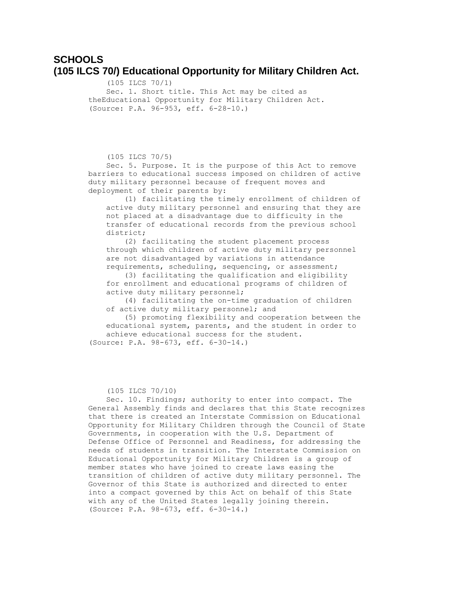# **SCHOOLS (105 ILCS 70/) Educational Opportunity for Military Children Act.**

 (105 ILCS 70/1) Sec. 1. Short title. This Act may be cited as theEducational Opportunity for Military Children Act. (Source: P.A. 96-953, eff. 6-28-10.)

(105 ILCS 70/5)

 Sec. 5. Purpose. It is the purpose of this Act to remove barriers to educational success imposed on children of active duty military personnel because of frequent moves and deployment of their parents by:

 (1) facilitating the timely enrollment of children of active duty military personnel and ensuring that they are not placed at a disadvantage due to difficulty in the transfer of educational records from the previous school district;

 (2) facilitating the student placement process through which children of active duty military personnel are not disadvantaged by variations in attendance requirements, scheduling, sequencing, or assessment;

 (3) facilitating the qualification and eligibility for enrollment and educational programs of children of active duty military personnel;

 (4) facilitating the on-time graduation of children of active duty military personnel; and

 (5) promoting flexibility and cooperation between the educational system, parents, and the student in order to achieve educational success for the student.

(Source: P.A. 98-673, eff. 6-30-14.)

(105 ILCS 70/10)

 Sec. 10. Findings; authority to enter into compact. The General Assembly finds and declares that this State recognizes that there is created an Interstate Commission on Educational Opportunity for Military Children through the Council of State Governments, in cooperation with the U.S. Department of Defense Office of Personnel and Readiness, for addressing the needs of students in transition. The Interstate Commission on Educational Opportunity for Military Children is a group of member states who have joined to create laws easing the transition of children of active duty military personnel. The Governor of this State is authorized and directed to enter into a compact governed by this Act on behalf of this State with any of the United States legally joining therein. (Source: P.A. 98-673, eff. 6-30-14.)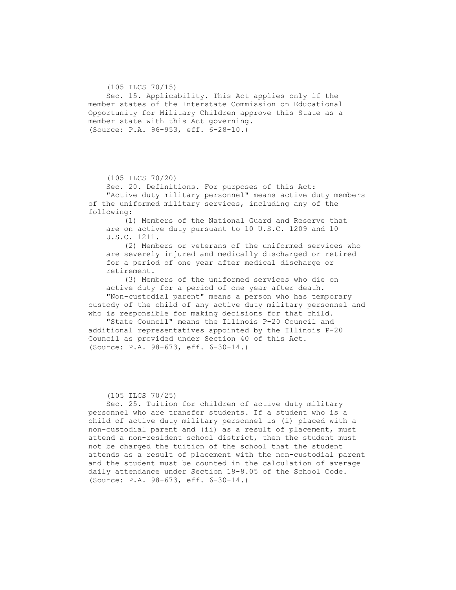(105 ILCS 70/15) Sec. 15. Applicability. This Act applies only if the member states of the Interstate Commission on Educational Opportunity for Military Children approve this State as a member state with this Act governing. (Source: P.A. 96-953, eff. 6-28-10.)

(105 ILCS 70/20)

 Sec. 20. Definitions. For purposes of this Act: "Active duty military personnel" means active duty members of the uniformed military services, including any of the following:

 (1) Members of the National Guard and Reserve that are on active duty pursuant to 10 U.S.C. 1209 and 10 U.S.C. 1211.

 (2) Members or veterans of the uniformed services who are severely injured and medically discharged or retired for a period of one year after medical discharge or retirement.

 (3) Members of the uniformed services who die on active duty for a period of one year after death. "Non-custodial parent" means a person who has temporary custody of the child of any active duty military personnel and who is responsible for making decisions for that child.

 "State Council" means the Illinois P-20 Council and additional representatives appointed by the Illinois P-20 Council as provided under Section 40 of this Act. (Source: P.A. 98-673, eff. 6-30-14.)

#### (105 ILCS 70/25)

 Sec. 25. Tuition for children of active duty military personnel who are transfer students. If a student who is a child of active duty military personnel is (i) placed with a non-custodial parent and (ii) as a result of placement, must attend a non-resident school district, then the student must not be charged the tuition of the school that the student attends as a result of placement with the non-custodial parent and the student must be counted in the calculation of average daily attendance under Section 18-8.05 of the School Code. (Source: P.A. 98-673, eff. 6-30-14.)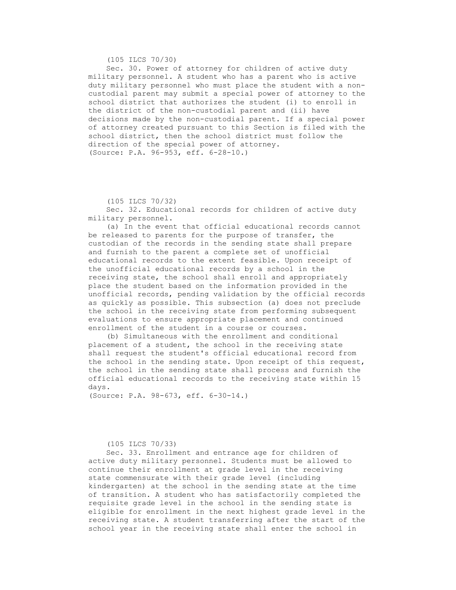(105 ILCS 70/30)

 Sec. 30. Power of attorney for children of active duty military personnel. A student who has a parent who is active duty military personnel who must place the student with a noncustodial parent may submit a special power of attorney to the school district that authorizes the student (i) to enroll in the district of the non-custodial parent and (ii) have decisions made by the non-custodial parent. If a special power of attorney created pursuant to this Section is filed with the school district, then the school district must follow the direction of the special power of attorney. (Source: P.A. 96-953, eff. 6-28-10.)

(105 ILCS 70/32)

 Sec. 32. Educational records for children of active duty military personnel.

 (a) In the event that official educational records cannot be released to parents for the purpose of transfer, the custodian of the records in the sending state shall prepare and furnish to the parent a complete set of unofficial educational records to the extent feasible. Upon receipt of the unofficial educational records by a school in the receiving state, the school shall enroll and appropriately place the student based on the information provided in the unofficial records, pending validation by the official records as quickly as possible. This subsection (a) does not preclude the school in the receiving state from performing subsequent evaluations to ensure appropriate placement and continued enrollment of the student in a course or courses.

 (b) Simultaneous with the enrollment and conditional placement of a student, the school in the receiving state shall request the student's official educational record from the school in the sending state. Upon receipt of this request, the school in the sending state shall process and furnish the official educational records to the receiving state within 15 days.

(Source: P.A. 98-673, eff. 6-30-14.)

#### (105 ILCS 70/33)

 Sec. 33. Enrollment and entrance age for children of active duty military personnel. Students must be allowed to continue their enrollment at grade level in the receiving state commensurate with their grade level (including kindergarten) at the school in the sending state at the time of transition. A student who has satisfactorily completed the requisite grade level in the school in the sending state is eligible for enrollment in the next highest grade level in the receiving state. A student transferring after the start of the school year in the receiving state shall enter the school in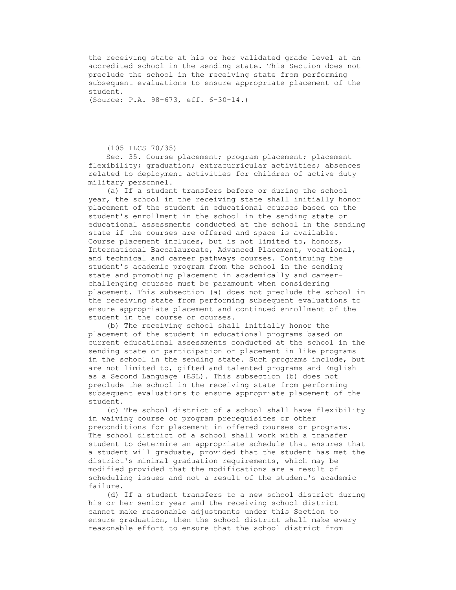the receiving state at his or her validated grade level at an accredited school in the sending state. This Section does not preclude the school in the receiving state from performing subsequent evaluations to ensure appropriate placement of the student.

(Source: P.A. 98-673, eff. 6-30-14.)

(105 ILCS 70/35)

 Sec. 35. Course placement; program placement; placement flexibility; graduation; extracurricular activities; absences related to deployment activities for children of active duty military personnel.

 (a) If a student transfers before or during the school year, the school in the receiving state shall initially honor placement of the student in educational courses based on the student's enrollment in the school in the sending state or educational assessments conducted at the school in the sending state if the courses are offered and space is available. Course placement includes, but is not limited to, honors, International Baccalaureate, Advanced Placement, vocational, and technical and career pathways courses. Continuing the student's academic program from the school in the sending state and promoting placement in academically and careerchallenging courses must be paramount when considering placement. This subsection (a) does not preclude the school in the receiving state from performing subsequent evaluations to ensure appropriate placement and continued enrollment of the student in the course or courses.

 (b) The receiving school shall initially honor the placement of the student in educational programs based on current educational assessments conducted at the school in the sending state or participation or placement in like programs in the school in the sending state. Such programs include, but are not limited to, gifted and talented programs and English as a Second Language (ESL). This subsection (b) does not preclude the school in the receiving state from performing subsequent evaluations to ensure appropriate placement of the student.

 (c) The school district of a school shall have flexibility in waiving course or program prerequisites or other preconditions for placement in offered courses or programs. The school district of a school shall work with a transfer student to determine an appropriate schedule that ensures that a student will graduate, provided that the student has met the district's minimal graduation requirements, which may be modified provided that the modifications are a result of scheduling issues and not a result of the student's academic failure.

 (d) If a student transfers to a new school district during his or her senior year and the receiving school district cannot make reasonable adjustments under this Section to ensure graduation, then the school district shall make every reasonable effort to ensure that the school district from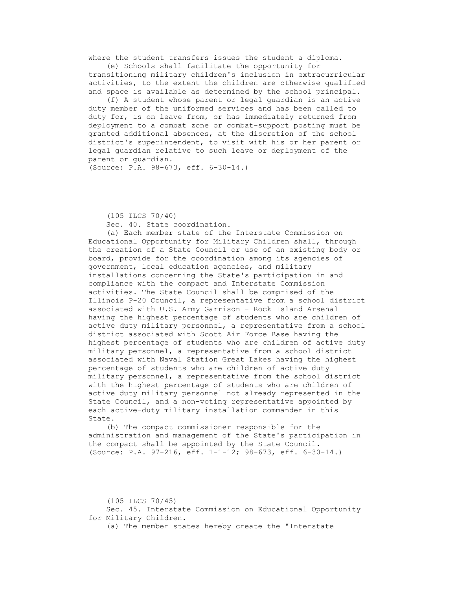where the student transfers issues the student a diploma. (e) Schools shall facilitate the opportunity for

transitioning military children's inclusion in extracurricular activities, to the extent the children are otherwise qualified and space is available as determined by the school principal.

 (f) A student whose parent or legal guardian is an active duty member of the uniformed services and has been called to duty for, is on leave from, or has immediately returned from deployment to a combat zone or combat-support posting must be granted additional absences, at the discretion of the school district's superintendent, to visit with his or her parent or legal guardian relative to such leave or deployment of the parent or guardian.

(Source: P.A. 98-673, eff. 6-30-14.)

 (105 ILCS 70/40) Sec. 40. State coordination.

 (a) Each member state of the Interstate Commission on Educational Opportunity for Military Children shall, through the creation of a State Council or use of an existing body or board, provide for the coordination among its agencies of government, local education agencies, and military installations concerning the State's participation in and compliance with the compact and Interstate Commission activities. The State Council shall be comprised of the Illinois P-20 Council, a representative from a school district associated with U.S. Army Garrison - Rock Island Arsenal having the highest percentage of students who are children of active duty military personnel, a representative from a school district associated with Scott Air Force Base having the highest percentage of students who are children of active duty military personnel, a representative from a school district associated with Naval Station Great Lakes having the highest percentage of students who are children of active duty military personnel, a representative from the school district with the highest percentage of students who are children of active duty military personnel not already represented in the State Council, and a non-voting representative appointed by each active-duty military installation commander in this State.

 (b) The compact commissioner responsible for the administration and management of the State's participation in the compact shall be appointed by the State Council. (Source: P.A. 97-216, eff. 1-1-12; 98-673, eff. 6-30-14.)

(105 ILCS 70/45)

 Sec. 45. Interstate Commission on Educational Opportunity for Military Children.

(a) The member states hereby create the "Interstate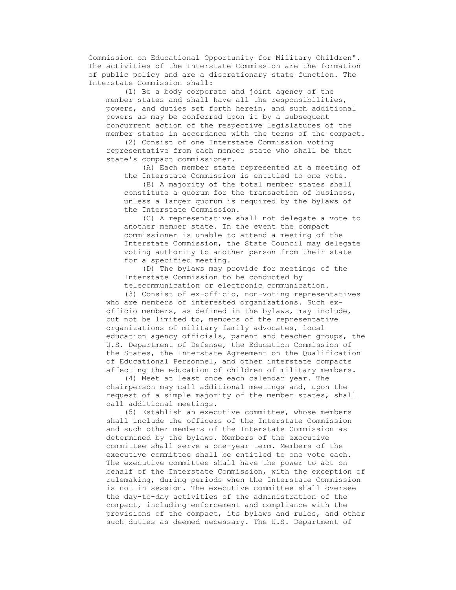Commission on Educational Opportunity for Military Children". The activities of the Interstate Commission are the formation of public policy and are a discretionary state function. The Interstate Commission shall:

 (1) Be a body corporate and joint agency of the member states and shall have all the responsibilities, powers, and duties set forth herein, and such additional powers as may be conferred upon it by a subsequent concurrent action of the respective legislatures of the member states in accordance with the terms of the compact.

 (2) Consist of one Interstate Commission voting representative from each member state who shall be that state's compact commissioner.

 (A) Each member state represented at a meeting of the Interstate Commission is entitled to one vote.

 (B) A majority of the total member states shall constitute a quorum for the transaction of business, unless a larger quorum is required by the bylaws of the Interstate Commission.

 (C) A representative shall not delegate a vote to another member state. In the event the compact commissioner is unable to attend a meeting of the Interstate Commission, the State Council may delegate voting authority to another person from their state for a specified meeting.

 (D) The bylaws may provide for meetings of the Interstate Commission to be conducted by telecommunication or electronic communication.

 (3) Consist of ex-officio, non-voting representatives who are members of interested organizations. Such exofficio members, as defined in the bylaws, may include, but not be limited to, members of the representative organizations of military family advocates, local education agency officials, parent and teacher groups, the U.S. Department of Defense, the Education Commission of the States, the Interstate Agreement on the Qualification of Educational Personnel, and other interstate compacts affecting the education of children of military members.

 (4) Meet at least once each calendar year. The chairperson may call additional meetings and, upon the request of a simple majority of the member states, shall call additional meetings.

 (5) Establish an executive committee, whose members shall include the officers of the Interstate Commission and such other members of the Interstate Commission as determined by the bylaws. Members of the executive committee shall serve a one-year term. Members of the executive committee shall be entitled to one vote each. The executive committee shall have the power to act on behalf of the Interstate Commission, with the exception of rulemaking, during periods when the Interstate Commission is not in session. The executive committee shall oversee the day-to-day activities of the administration of the compact, including enforcement and compliance with the provisions of the compact, its bylaws and rules, and other such duties as deemed necessary. The U.S. Department of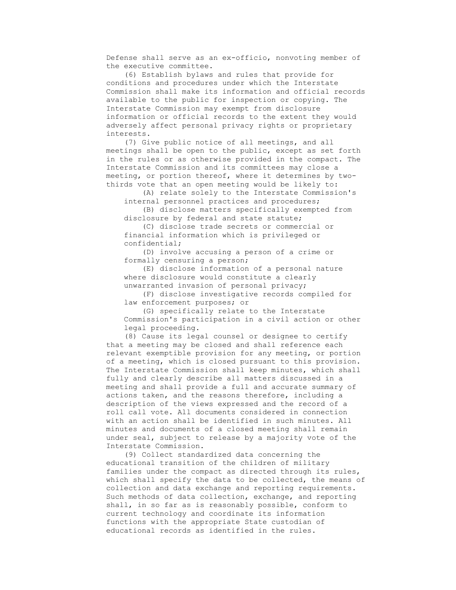Defense shall serve as an ex-officio, nonvoting member of the executive committee.

 (6) Establish bylaws and rules that provide for conditions and procedures under which the Interstate Commission shall make its information and official records available to the public for inspection or copying. The Interstate Commission may exempt from disclosure information or official records to the extent they would adversely affect personal privacy rights or proprietary interests.

 (7) Give public notice of all meetings, and all meetings shall be open to the public, except as set forth in the rules or as otherwise provided in the compact. The Interstate Commission and its committees may close a meeting, or portion thereof, where it determines by twothirds vote that an open meeting would be likely to:

 (A) relate solely to the Interstate Commission's internal personnel practices and procedures;

 (B) disclose matters specifically exempted from disclosure by federal and state statute;

 (C) disclose trade secrets or commercial or financial information which is privileged or confidential;

 (D) involve accusing a person of a crime or formally censuring a person;

 (E) disclose information of a personal nature where disclosure would constitute a clearly unwarranted invasion of personal privacy;

 (F) disclose investigative records compiled for law enforcement purposes; or

 (G) specifically relate to the Interstate Commission's participation in a civil action or other legal proceeding.

 (8) Cause its legal counsel or designee to certify that a meeting may be closed and shall reference each relevant exemptible provision for any meeting, or portion of a meeting, which is closed pursuant to this provision. The Interstate Commission shall keep minutes, which shall fully and clearly describe all matters discussed in a meeting and shall provide a full and accurate summary of actions taken, and the reasons therefore, including a description of the views expressed and the record of a roll call vote. All documents considered in connection with an action shall be identified in such minutes. All minutes and documents of a closed meeting shall remain under seal, subject to release by a majority vote of the Interstate Commission.

 (9) Collect standardized data concerning the educational transition of the children of military families under the compact as directed through its rules, which shall specify the data to be collected, the means of collection and data exchange and reporting requirements. Such methods of data collection, exchange, and reporting shall, in so far as is reasonably possible, conform to current technology and coordinate its information functions with the appropriate State custodian of educational records as identified in the rules.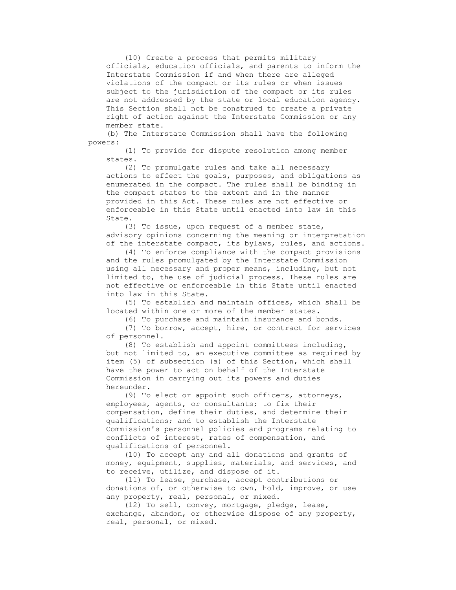(10) Create a process that permits military officials, education officials, and parents to inform the Interstate Commission if and when there are alleged violations of the compact or its rules or when issues subject to the jurisdiction of the compact or its rules are not addressed by the state or local education agency. This Section shall not be construed to create a private right of action against the Interstate Commission or any member state.

 (b) The Interstate Commission shall have the following powers:

 (1) To provide for dispute resolution among member states.

 (2) To promulgate rules and take all necessary actions to effect the goals, purposes, and obligations as enumerated in the compact. The rules shall be binding in the compact states to the extent and in the manner provided in this Act. These rules are not effective or enforceable in this State until enacted into law in this State.

 (3) To issue, upon request of a member state, advisory opinions concerning the meaning or interpretation of the interstate compact, its bylaws, rules, and actions.

 (4) To enforce compliance with the compact provisions and the rules promulgated by the Interstate Commission using all necessary and proper means, including, but not limited to, the use of judicial process. These rules are not effective or enforceable in this State until enacted into law in this State.

 (5) To establish and maintain offices, which shall be located within one or more of the member states.

(6) To purchase and maintain insurance and bonds.

 (7) To borrow, accept, hire, or contract for services of personnel.

 (8) To establish and appoint committees including, but not limited to, an executive committee as required by item (5) of subsection (a) of this Section, which shall have the power to act on behalf of the Interstate Commission in carrying out its powers and duties hereunder.

 (9) To elect or appoint such officers, attorneys, employees, agents, or consultants; to fix their compensation, define their duties, and determine their qualifications; and to establish the Interstate Commission's personnel policies and programs relating to conflicts of interest, rates of compensation, and qualifications of personnel.

 (10) To accept any and all donations and grants of money, equipment, supplies, materials, and services, and to receive, utilize, and dispose of it.

 (11) To lease, purchase, accept contributions or donations of, or otherwise to own, hold, improve, or use any property, real, personal, or mixed.

 (12) To sell, convey, mortgage, pledge, lease, exchange, abandon, or otherwise dispose of any property, real, personal, or mixed.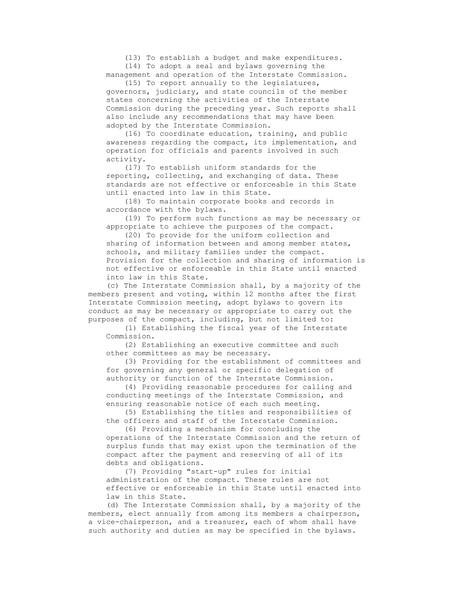(13) To establish a budget and make expenditures.

(14) To adopt a seal and bylaws governing the

 management and operation of the Interstate Commission. (15) To report annually to the legislatures,

governors, judiciary, and state councils of the member states concerning the activities of the Interstate Commission during the preceding year. Such reports shall also include any recommendations that may have been adopted by the Interstate Commission.

 (16) To coordinate education, training, and public awareness regarding the compact, its implementation, and operation for officials and parents involved in such activity.

 (17) To establish uniform standards for the reporting, collecting, and exchanging of data. These standards are not effective or enforceable in this State until enacted into law in this State.

 (18) To maintain corporate books and records in accordance with the bylaws.

 (19) To perform such functions as may be necessary or appropriate to achieve the purposes of the compact.

 (20) To provide for the uniform collection and sharing of information between and among member states, schools, and military families under the compact. Provision for the collection and sharing of information is not effective or enforceable in this State until enacted into law in this State.

 (c) The Interstate Commission shall, by a majority of the members present and voting, within 12 months after the first Interstate Commission meeting, adopt bylaws to govern its conduct as may be necessary or appropriate to carry out the purposes of the compact, including, but not limited to:

 (1) Establishing the fiscal year of the Interstate Commission.

 (2) Establishing an executive committee and such other committees as may be necessary.

 (3) Providing for the establishment of committees and for governing any general or specific delegation of authority or function of the Interstate Commission.

 (4) Providing reasonable procedures for calling and conducting meetings of the Interstate Commission, and ensuring reasonable notice of each such meeting.

 (5) Establishing the titles and responsibilities of the officers and staff of the Interstate Commission.

 (6) Providing a mechanism for concluding the operations of the Interstate Commission and the return of surplus funds that may exist upon the termination of the compact after the payment and reserving of all of its debts and obligations.

 (7) Providing "start-up" rules for initial administration of the compact. These rules are not effective or enforceable in this State until enacted into law in this State.

 (d) The Interstate Commission shall, by a majority of the members, elect annually from among its members a chairperson, a vice-chairperson, and a treasurer, each of whom shall have such authority and duties as may be specified in the bylaws.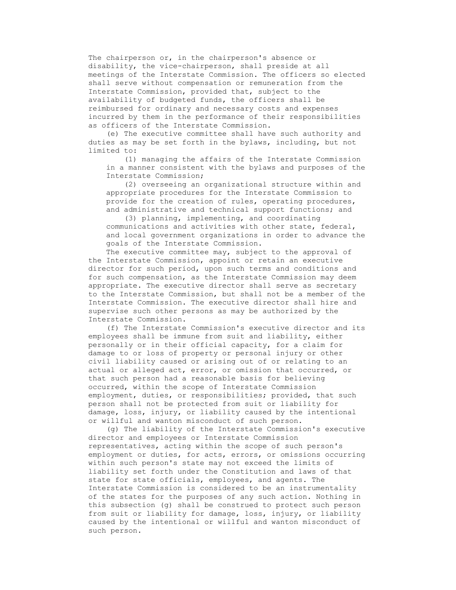The chairperson or, in the chairperson's absence or disability, the vice-chairperson, shall preside at all meetings of the Interstate Commission. The officers so elected shall serve without compensation or remuneration from the Interstate Commission, provided that, subject to the availability of budgeted funds, the officers shall be reimbursed for ordinary and necessary costs and expenses incurred by them in the performance of their responsibilities as officers of the Interstate Commission.

 (e) The executive committee shall have such authority and duties as may be set forth in the bylaws, including, but not limited to:

 (1) managing the affairs of the Interstate Commission in a manner consistent with the bylaws and purposes of the Interstate Commission;

 (2) overseeing an organizational structure within and appropriate procedures for the Interstate Commission to provide for the creation of rules, operating procedures, and administrative and technical support functions; and

 (3) planning, implementing, and coordinating communications and activities with other state, federal, and local government organizations in order to advance the goals of the Interstate Commission.

The executive committee may, subject to the approval of the Interstate Commission, appoint or retain an executive director for such period, upon such terms and conditions and for such compensation, as the Interstate Commission may deem appropriate. The executive director shall serve as secretary to the Interstate Commission, but shall not be a member of the Interstate Commission. The executive director shall hire and supervise such other persons as may be authorized by the Interstate Commission.

 (f) The Interstate Commission's executive director and its employees shall be immune from suit and liability, either personally or in their official capacity, for a claim for damage to or loss of property or personal injury or other civil liability caused or arising out of or relating to an actual or alleged act, error, or omission that occurred, or that such person had a reasonable basis for believing occurred, within the scope of Interstate Commission employment, duties, or responsibilities; provided, that such person shall not be protected from suit or liability for damage, loss, injury, or liability caused by the intentional or willful and wanton misconduct of such person.

 (g) The liability of the Interstate Commission's executive director and employees or Interstate Commission representatives, acting within the scope of such person's employment or duties, for acts, errors, or omissions occurring within such person's state may not exceed the limits of liability set forth under the Constitution and laws of that state for state officials, employees, and agents. The Interstate Commission is considered to be an instrumentality of the states for the purposes of any such action. Nothing in this subsection (g) shall be construed to protect such person from suit or liability for damage, loss, injury, or liability caused by the intentional or willful and wanton misconduct of such person.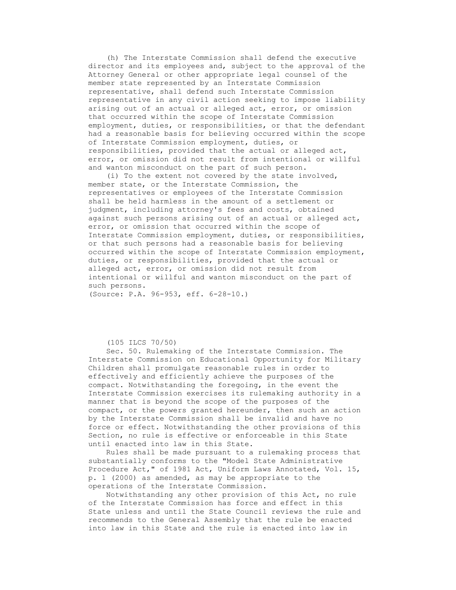(h) The Interstate Commission shall defend the executive director and its employees and, subject to the approval of the Attorney General or other appropriate legal counsel of the member state represented by an Interstate Commission representative, shall defend such Interstate Commission representative in any civil action seeking to impose liability arising out of an actual or alleged act, error, or omission that occurred within the scope of Interstate Commission employment, duties, or responsibilities, or that the defendant had a reasonable basis for believing occurred within the scope of Interstate Commission employment, duties, or responsibilities, provided that the actual or alleged act, error, or omission did not result from intentional or willful and wanton misconduct on the part of such person.

 (i) To the extent not covered by the state involved, member state, or the Interstate Commission, the representatives or employees of the Interstate Commission shall be held harmless in the amount of a settlement or judgment, including attorney's fees and costs, obtained against such persons arising out of an actual or alleged act, error, or omission that occurred within the scope of Interstate Commission employment, duties, or responsibilities, or that such persons had a reasonable basis for believing occurred within the scope of Interstate Commission employment, duties, or responsibilities, provided that the actual or alleged act, error, or omission did not result from intentional or willful and wanton misconduct on the part of such persons.

(Source: P.A. 96-953, eff. 6-28-10.)

## (105 ILCS 70/50)

 Sec. 50. Rulemaking of the Interstate Commission. The Interstate Commission on Educational Opportunity for Military Children shall promulgate reasonable rules in order to effectively and efficiently achieve the purposes of the compact. Notwithstanding the foregoing, in the event the Interstate Commission exercises its rulemaking authority in a manner that is beyond the scope of the purposes of the compact, or the powers granted hereunder, then such an action by the Interstate Commission shall be invalid and have no force or effect. Notwithstanding the other provisions of this Section, no rule is effective or enforceable in this State until enacted into law in this State.

 Rules shall be made pursuant to a rulemaking process that substantially conforms to the "Model State Administrative Procedure Act," of 1981 Act, Uniform Laws Annotated, Vol. 15, p. 1 (2000) as amended, as may be appropriate to the operations of the Interstate Commission.

 Notwithstanding any other provision of this Act, no rule of the Interstate Commission has force and effect in this State unless and until the State Council reviews the rule and recommends to the General Assembly that the rule be enacted into law in this State and the rule is enacted into law in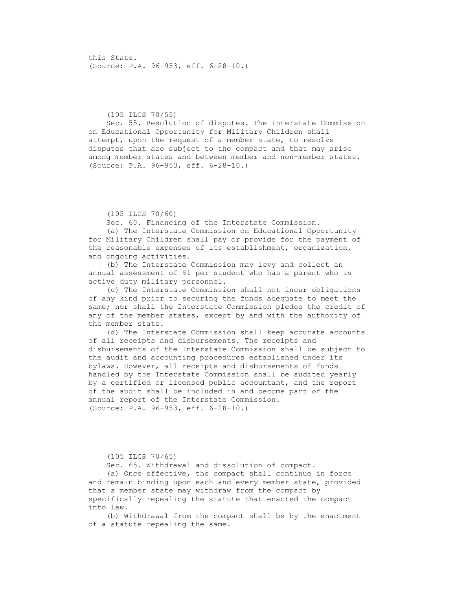this State. (Source: P.A. 96-953, eff. 6-28-10.)

## (105 ILCS 70/55)

 Sec. 55. Resolution of disputes. The Interstate Commission on Educational Opportunity for Military Children shall attempt, upon the request of a member state, to resolve disputes that are subject to the compact and that may arise among member states and between member and non-member states. (Source: P.A. 96-953, eff. 6-28-10.)

#### (105 ILCS 70/60)

Sec. 60. Financing of the Interstate Commission.

 (a) The Interstate Commission on Educational Opportunity for Military Children shall pay or provide for the payment of the reasonable expenses of its establishment, organization, and ongoing activities.

 (b) The Interstate Commission may levy and collect an annual assessment of \$1 per student who has a parent who is active duty military personnel.

 (c) The Interstate Commission shall not incur obligations of any kind prior to securing the funds adequate to meet the same; nor shall the Interstate Commission pledge the credit of any of the member states, except by and with the authority of the member state.

 (d) The Interstate Commission shall keep accurate accounts of all receipts and disbursements. The receipts and disbursements of the Interstate Commission shall be subject to the audit and accounting procedures established under its bylaws. However, all receipts and disbursements of funds handled by the Interstate Commission shall be audited yearly by a certified or licensed public accountant, and the report of the audit shall be included in and become part of the annual report of the Interstate Commission. (Source: P.A. 96-953, eff. 6-28-10.)

## (105 ILCS 70/65)

Sec. 65. Withdrawal and dissolution of compact.

 (a) Once effective, the compact shall continue in force and remain binding upon each and every member state, provided that a member state may withdraw from the compact by specifically repealing the statute that enacted the compact into law.

 (b) Withdrawal from the compact shall be by the enactment of a statute repealing the same.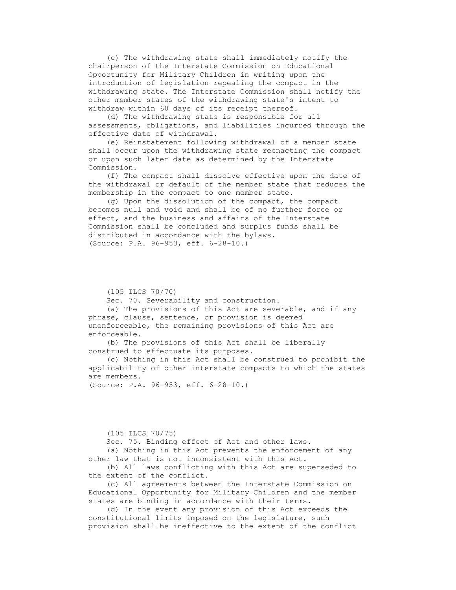(c) The withdrawing state shall immediately notify the chairperson of the Interstate Commission on Educational Opportunity for Military Children in writing upon the introduction of legislation repealing the compact in the withdrawing state. The Interstate Commission shall notify the other member states of the withdrawing state's intent to withdraw within 60 days of its receipt thereof.

 (d) The withdrawing state is responsible for all assessments, obligations, and liabilities incurred through the effective date of withdrawal.

 (e) Reinstatement following withdrawal of a member state shall occur upon the withdrawing state reenacting the compact or upon such later date as determined by the Interstate Commission.

 (f) The compact shall dissolve effective upon the date of the withdrawal or default of the member state that reduces the membership in the compact to one member state.

 (g) Upon the dissolution of the compact, the compact becomes null and void and shall be of no further force or effect, and the business and affairs of the Interstate Commission shall be concluded and surplus funds shall be distributed in accordance with the bylaws. (Source: P.A. 96-953, eff. 6-28-10.)

(105 ILCS 70/70)

Sec. 70. Severability and construction.

 (a) The provisions of this Act are severable, and if any phrase, clause, sentence, or provision is deemed unenforceable, the remaining provisions of this Act are enforceable.

 (b) The provisions of this Act shall be liberally construed to effectuate its purposes.

 (c) Nothing in this Act shall be construed to prohibit the applicability of other interstate compacts to which the states are members.

(Source: P.A. 96-953, eff. 6-28-10.)

#### (105 ILCS 70/75)

Sec. 75. Binding effect of Act and other laws.

 (a) Nothing in this Act prevents the enforcement of any other law that is not inconsistent with this Act.

 (b) All laws conflicting with this Act are superseded to the extent of the conflict.

 (c) All agreements between the Interstate Commission on Educational Opportunity for Military Children and the member states are binding in accordance with their terms.

 (d) In the event any provision of this Act exceeds the constitutional limits imposed on the legislature, such provision shall be ineffective to the extent of the conflict